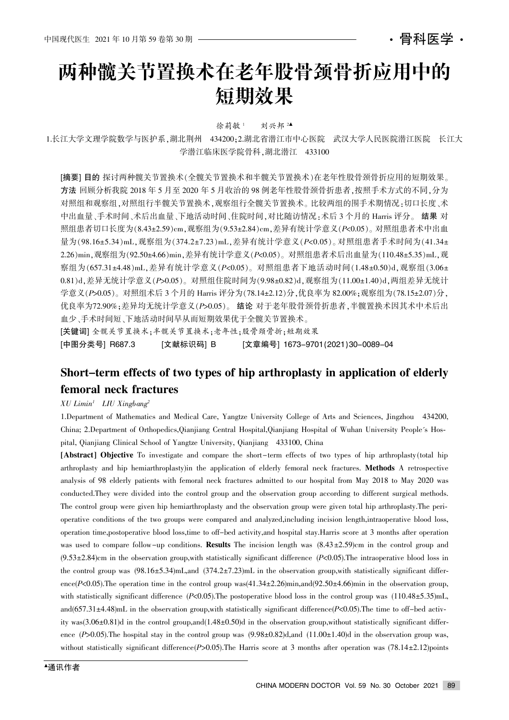# 两种髋关节置换术在老年股骨颈骨折应用中的 短期效果

徐莉敏<sup>1</sup> 刘兴邦<sup>24</sup>

1.长江大学文理学院数学与医护系,湖北荆州 434200:2.湖北省潜江市中心医院 武汉大学人民医院潜江医院 长江大 学潜江临床医学院骨科,湖北潜江 433100

[摘要] 目的 探讨两种髋关节置换术(全髋关节置换术和半髋关节置换术)在老年性股骨颈骨折应用的短期效果。 方法 回顾分析我院 2018 年 5 月至 2020 年 5 月收治的 98 例老年性股骨颈骨折患者,按照手术方式的不同,分为 对照组和观察组,对照组行半髋关节置换术、观察组行全髋关节置换术。比较两组的围手术期情况:切口长度、术 中出血量、手术时间、术后出血量、下地活动时间、住院时间,对比随访情况:术后 3 个月的 Harris 评分。 结果 对 照组患者切口长度为(8.43±2.59)cm,观察组为(9.53±2.84)cm,差异有统计学意义(P<0.05)。对照组患者术中出血 量为(98.16±5.34)mL,观察组为(374.2±7.23)mL,差异有统计学意义(P<0.05)。对照组患者手术时间为(41.34± 2.26)min,观察组为(92.50±4.66)min,差异有统计学意义(P<0.05)。对照组患者术后出血量为(110.48±5.35)mL,观 察组为(657.31±4.48)mL. 差异有统计学意义(P<0.05)。对照组患者下地活动时间(1.48±0.50)d, 观察组(3.06± 0.81)d. 差异无统计学意义(P>0.05)。对照组住院时间为(9.98±0.82)d. 观察组为(11.00±1.40)d. 两组差异无统计 学意义(P>0.05)。对照组术后 3 个月的 Harris 评分为(78.14±2.12)分,优良率为 82.00%;观察组为(78.15±2.07)分, 优良率为72.90%;差异均无统计学意义(P>0.05)。 结论 对于老年股骨颈骨折患者,半髋置换术因其术中术后出 血少、手术时间短、下地活动时间早从而短期效果优于全髋关节置换术。

[关键词] 全髋关节置换关节置换术;老年性;股骨颈骨折;短期效果 [中图分类号] R687.3 [文献标识码] B [文章编号] 1673–9701(2021)30–0089–04

## Short-term effects of two types of hip arthroplasty in application of elderly femoral neck fractures

#### $XU$  Limin<sup>1</sup> LIU Xingbang<sup>2</sup>

1.Department of Mathematics and Medical Care, Yangtze University College of Arts and Sciences, Jingzhou 434200, China; 2.Department of Orthopedics, Qianjiang Central Hospital, Qianjiang Hospital of Wuhan University People's Hospital, Qianjiang Clinical School of Yangtze University, Qianjiang 433100, China

[Abstract] Objective To investigate and compare the short-term effects of two types of hip arthroplasty(total hip arthroplasty and hip hemiarthroplasty)in the application of elderly femoral neck fractures. Methods A retrospective analysis of 98 elderly patients with femoral neck fractures admitted to our hospital from May 2018 to May 2020 was conducted.They were divided into the control group and the observation group according to different surgical methods. The control group were given hip hemiarthroplasty and the observation group were given total hip arthroplasty.The perioperative conditions of the two groups were compared and analyzed,including incision length,intraoperative blood loss, operation time,postoperative blood loss,time to off-bed activity,and hospital stay.Harris score at 3 months after operation was used to compare follow-up conditions. **Results** The incision length was  $(8.43 \pm 2.59)$ cm in the control group and  $(9.53 \pm 2.84)$ cm in the observation group, with statistically significant difference  $(P<0.05)$ . The intraoperative blood loss in the control group was  $(98.16 \pm 5.34)$ mL,and  $(374.2 \pm 7.23)$ mL in the observation group,with statistically significant difference( $P<0.05$ ). The operation time in the control group was( $41.34\pm 2.26$ )min,and( $92.50\pm 4.66$ )min in the observation group, with statistically significant difference  $(P<0.05)$ . The postoperative blood loss in the control group was  $(110.48 \pm 5.35)$ mL, and(657.31 $\pm$ 4.48)mL in the observation group, with statistically significant difference(P<0.05). The time to off-bed activity was $(3.06\pm0.81)$ d in the control group,and $(1.48\pm0.50)$ d in the observation group,without statistically significant difference  $(P>0.05)$ . The hospital stay in the control group was  $(9.98±0.82)d$ , and  $(11.00±1.40)d$  in the observation group was, without statistically significant difference(P>0.05). The Harris score at 3 months after operation was (78.14 $\pm$ 2.12) points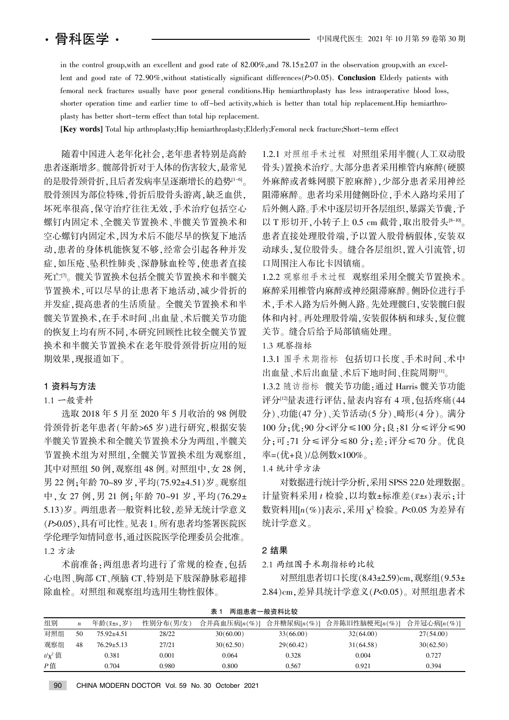in the control group, with an excellent and good rate of  $82.00\%$ , and  $78.15\pm2.07$  in the observation group, with an excellent and good rate of 72.90%, without statistically significant differences( $P>0.05$ ). Conclusion Elderly patients with femoral neck fractures usually have poor general conditions.Hip hemiarthroplasty has less intraoperative blood loss, shorter operation time and earlier time to off-bed activity, which is better than total hip replacement.Hip hemiarthroplasty has better short-term effect than total hip replacement.

[Key words] Total hip arthroplasty;Hip hemiarthroplasty;Elderly;Femoral neck fracture;Short-term effect

随着中国进入老年化社会,老年患者特别是高龄 患者逐渐增多。髋部骨折对于人体的伤害较大,最常见 的是股骨颈骨折,且后者发病率呈逐渐增长的趋势<sup>[1-6]</sup>。 股骨颈因为部位特殊,骨折后股骨头游离,缺乏血供, 坏死率很高,保守治疗往往无效,手术治疗包括空心 螺钉内固定术、全髋关节置换术和 空心螺钉内固定术,因为术后不能尽早的恢复下地活 动,患者的身体机能恢复不够,经常会引起各种并发 症,如压疮、坠积性肺炎、深静脉血栓等,使患者直接 死亡<sup>n</sup>。髋关节置换术包括全髋关节置换术和半髋关 节置换术,可以尽早的让患者下地活动,减少骨折的 并发症,提高患者的生活质量。全髋关节置换术和半 髋关节置换术,在手术时间、出血量、术后髋关节功能 的恢复上均有所不同,本研究回顾性比较全髋关节置 换术和半髋关节置换术在老年股骨颈骨折应用的短 期效果,现报道如下。

#### 1 资料与方法

#### 1.1 一般资料

选取 2018 年 5 月至 2020 年 5 月收治的 98 例股 骨颈骨折老年患者(年龄>65岁)进行研究,根据安装 半髋关节置换术和全髋关节置换术分为两组,半髋关 节置换术组为对照组,全髋关节置换术组为观察组, 其中对照组 50 例, 观察组 48 例。对照组中, 女 28 例, 男 22 例:年龄 70~89 岁,平均(75.92±4.51)岁。观察组 中,女 27 例,男 21 例;年龄 70~91 岁,平均(76.29± 5.13)岁。两组患者一般资料比较,差异无统计学意义 (P>0.05),具有可比性。见表 1。所有患者均签署医院医 学伦理学知情同意书,通过医院医学伦理委员会批准。 1.2 方法

术前准备:两组患者均进行了常规的检查,包括 心电图、胸部 CT、颅脑 CT、特别是下肢深静脉彩超排 除血栓。对照组和观察组均选用生物性假体。

1.2.1 对照组手术过程 对照组采用半髋(人工双动股 骨头)置换术治疗。大部分患者采用椎管内麻醉(硬膜 外麻醉或者蛛网膜下腔麻醉),少部分患者采用神经 阻滞麻醉。患者均采用健侧卧位,手术入路均采用了 后外侧入路。手术中逐层切开各层组织,暴露关节囊,予 以 T 形切开, 小转子上 0.5 cm 截骨, 取出股骨头<sup>[8-10]</sup>。 患者直接处理股骨端,予以置入股骨柄假体,安装双 动球头,复位股骨头。缝合各层组织,置入引流管,切 口周围注入布比卡因镇痛。

1.2.2 观察组手术过程 观察组采用全髋关节置换术。 麻醉采用椎管内麻醉或神经阻滞麻醉。侧卧位进行手 术,手术入路为后外侧入路。先处理髋臼,安装髋臼假 体和内衬。再处理股骨端,安装假体柄和球头,复位髋 关节。缝合后给予局部镇痛处理。

#### 1.3 观察指标

1.3.1 围手术期指标 包括切口长度、手术时间、术中 出血量、术后曲血量、术后下地时间、住院周期[11]。

1.3.2 随访指标 髋关节功能: 通过 Harris 髋关节功能 评分[12]量表进行评估,量表内容有 4 项,包括疼痛(44 分)、功能(47分)、关节活动(5分)、畸形(4分)。满分 100 分:优:90 分<评分≤100 分:良:81 分≤评分≤90 分;可:71 分≤评分≤80 分;差:评分≤70 分。优良 率=(优+良)/总例数×100%。

1.4 统计学方法

对数据进行统计学分析, 采用 SPSS 22.0 处理数据。 计量资料采用 t 检验, 以均数±标准差(x±s)表示;计 数资料用 $[n(\%)]$ 表示,采用  $\chi^2$  检验。 $P$ <0.05 为差异有 统计学意义。

#### 2 结果

2.1 两组围手术期指标的比较

对照组患者切口长度(8.43±2.59)cm,观察组(9.53±  $2.84$ )cm, 差异具统计学意义 $(P< 0.05)$ 。对照组患者术

| 组别           | n  | 年龄 $(x \pm s, \overline{y})$ | 性别分布(男/女) | 合并高血压病[n(%)] | 合并糖尿病[n(%)] | 合并陈旧性脑梗死[n(%)] | 合并冠心病[n(%)] |
|--------------|----|------------------------------|-----------|--------------|-------------|----------------|-------------|
| 对照组          | 50 | $75.92 \pm 4.51$             | 28/22     | 30(60.00)    | 33(66.00)   | 32(64.00)      | 27(54.00)   |
| 观察组          | 48 | $76.29 \pm 5.13$             | 27/21     | 30(62.50)    | 29(60.42)   | 31(64.58)      | 30(62.50)   |
| $t/\chi^2$ 值 |    | 0.381                        | 0.001     | 0.064        | 0.328       | 0.004          | 0.727       |
| $P$ 值        |    | 0.704                        | 0.980     | 0.800        | 0.567       | 0.921          | 0.394       |

#### 表 1 两组患者一般资料比较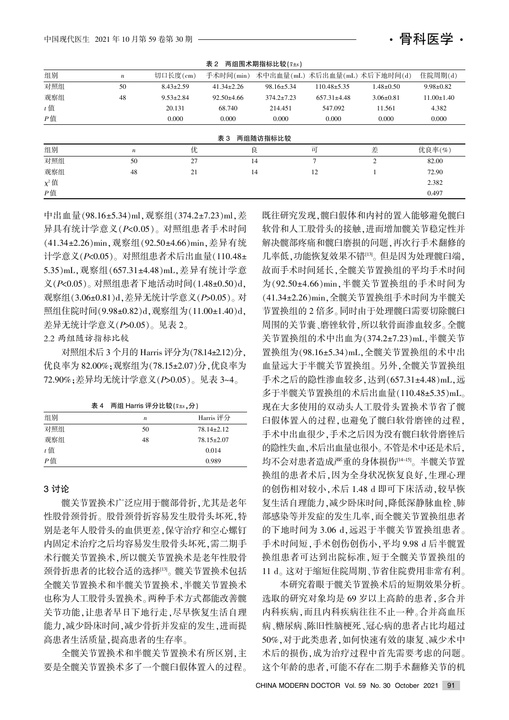

| 两组围术期指标比较(x+s)<br>表 2 |                  |                 |                  |                               |                   |                 |                  |
|-----------------------|------------------|-----------------|------------------|-------------------------------|-------------------|-----------------|------------------|
| 组别                    | $\boldsymbol{n}$ | 切口长度(cm)        | 手术时间(min)        | 术中出血量(mL) 术后出血量(mL) 术后下地时间(d) |                   |                 | 住院周期(d)          |
| 对照组                   | 50               | $8.43 \pm 2.59$ | $41.34 \pm 2.26$ | $98.16 \pm 5.34$              | $110.48 \pm 5.35$ | $1.48 \pm 0.50$ | $9.98 \pm 0.82$  |
| 观察组                   | 48               | $9.53 \pm 2.84$ | $92.50 \pm 4.66$ | $374.2 \pm 7.23$              | $657.31 \pm 4.48$ | $3.06 \pm 0.81$ | $11.00 \pm 1.40$ |
| $t$ 值                 |                  | 20.131          | 68.740           | 214.451                       | 547.092           | 11.561          | 4.382            |
| $P$ 值                 |                  | 0.000           | 0.000            | 0.000                         | 0.000             | 0.000           | 0.000            |
|                       |                  |                 | 表 3              | 两组随访指标比较                      |                   |                 |                  |
| 组别                    | $\boldsymbol{n}$ | 优               |                  | 良                             | 可                 | 差               | 优良率(%)           |
| 对照组                   | 50               | 27              |                  | 14                            | 7                 | $\overline{2}$  | 82.00            |
| 观察组                   | 48               | 21              |                  | 14                            | 12                |                 | 72.90            |
| $\chi^2$ 值            |                  |                 |                  |                               |                   |                 | 2.382            |
| P值                    |                  |                 |                  |                               |                   |                 | 0.497            |

中出血量(98.16±5.34)ml,观察组(374.2±7.23)ml,差 异具有统计学意义(P<0.05)。对照组患者手术时间 (41.34±2.26)min, 观察组(92.50±4.66)min, 差异有统 计学意义 $(P<0.05)$ 。对照组患者术后出血量 $(110.48 \pm$ 5.35)mL,观察组(657.31±4.48)mL,差异有统计学意  $\chi$ (P<0.05)。对照组患者下地活动时间(1.48±0.50)d, 观察组(3.06±0.81)d. 差异无统计学意义(P>0.05)。对 照组住院时间(9.98±0.82)d,观察组为(11.00±1.40)d, 差异无统计学意义 ( $P > 0.05$ )。见表 2。

2.2 两组随访指标比较

对照组术后 3 个月的 Harris 评分为(78.14±2.12)分, 优良率为 82.00%;观察组为(78.15±2.07)分,优良率为 72.90%; 差异均无统计学意义 (P>0.05)。见表 3~4。

表 4 两组 Harris 评分比较 $(x \pm s, \hat{y})$ 

| 组别    | $\boldsymbol{n}$ | Harris 评分        |
|-------|------------------|------------------|
| 对照组   | 50               | $78.14 \pm 2.12$ |
| 观察组   | 48               | $78.15 \pm 2.07$ |
| $t$ 值 |                  | 0.014            |
| P值    |                  | 0.989            |

#### 3 讨论

髋关节置换术广泛应用于髋部骨折,尤其是老年 性股骨颈骨折。股骨颈骨折容易发生股骨头坏死,特 别是老年人股骨头的血供更差,保守治疗和空心螺钉 内固定术治疗之后均容易发生股骨头坏死,需二期手 术行髋关节置换术,所以髋关节置换术是老年性股骨 颈骨折患者的比较合适的选择[13]。髋关节置换术包括 全髋关节置换术和半髋关节置换术 也称为人工股骨头置换术。两种手术方式都能改善髋 关节功能,让患者早日下地行走,尽早恢复生活自理 能力,减少卧床时间,减少骨折并发症的发生,进而提 高患者生活质量,提高患者的生存率。

全髋关节置换术和半髋关节置换术有所区别,主 要是全髋关节置换术多了一个髋臼假体置入的过程。

既往研究发现,髋臼假体和内衬的置入能够避免髋臼 软骨和人工股骨头的接触,进而增加髋关节稳定性并 解决髋部疼痛和髋臼磨损的问题,再次行手术翻修的 几率低, 功能恢复效果不错[13]。但是因为处理髋臼端, 故而手术时间延长,全髋关节置换组的平均手术时间 为(92.50±4.66)min, 半髋关节置换组的手术时间为 (41.34±2.26)min,全髋关节置换组手术时间为半髋关 节置换组的2 倍多。同时由于处理髋臼需要切除髋臼 周围的关节囊、磨锉软骨,所以软骨面渗血较多。全髋 关节置换组的术中出血为(374.2±7.23)mL,半髋关节 置换组为(98.16±5.34)mL,全髋关节置换组的术中出 血量远大于半髋关节置换组。另外,全髋关节置换组 手术之后的隐性渗血较多,达到(657.31±4.48)mL,远 多于半髋关节置换组的术后出血量(110.48±5.35)mL。 现在大多使用的双动头人工股骨头置换术节省了髋 臼假体置入的过程,也避免了髋臼软骨磨锉的过程, 手术中出血很少,手术之后因为没有髋臼软骨磨锉后 的隐性失血,术后出血量也很小。不管是术中还是术后, 均不会对患者造成严重的身体损伤[14-15]。半髋关节置 换组的患者术后,因为全身状况恢复良好,生理心理 的创伤相对较小, 术后 1.48 d 即可下床活动, 较早恢 复生活自理能力,减少卧床时间,降低深静脉血栓、肺 部感染等并发症的发生几率,而全髋关节置换组患者 的下地时间为 3.06 d. 远迟于半髋关节置换组患者。 手术时间短, 手术创伤创伤小, 平均 9.98 d 后半髋置 换组患者可达到出院标准,短于全髋关节置换组的 11 d。这对于缩短住院周期、节省住院费用非常有利。

本研究着眼于髋关节置换术后的短期效果分析。 选取的研究对象均是69岁以上高龄的患者,多合并 内科疾病且内科疾病往往不止一种。合并高血压 病、糖尿病、陈旧性脑梗死、冠心病的患者占比均超过 50%,对于此类患者,如何快速有效的康复、减少术中 术后的损伤,成为治疗过程中首先需要考虑的问题。 这个年龄的患者,可能不存在二期手术翻修关节的机